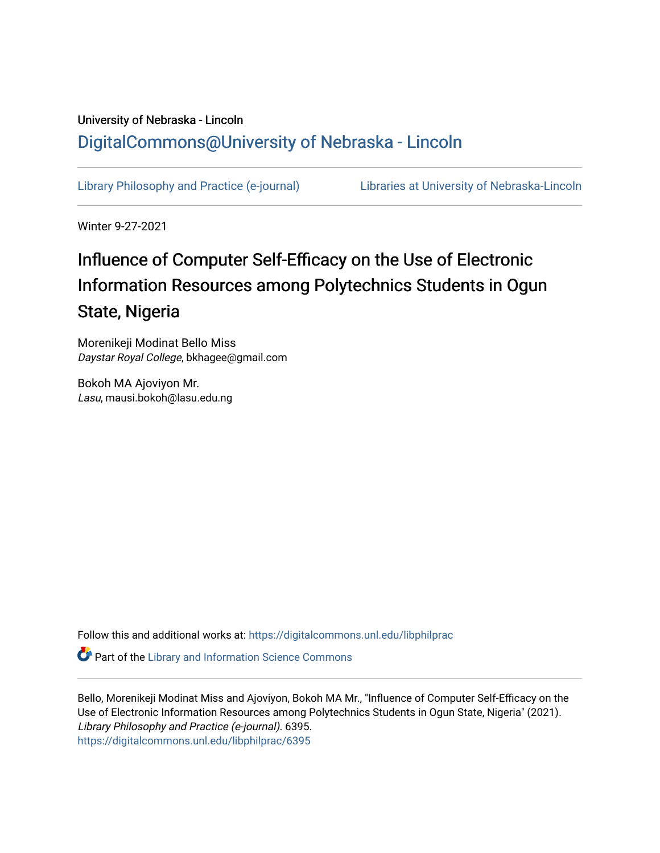## University of Nebraska - Lincoln [DigitalCommons@University of Nebraska - Lincoln](https://digitalcommons.unl.edu/)

[Library Philosophy and Practice \(e-journal\)](https://digitalcommons.unl.edu/libphilprac) [Libraries at University of Nebraska-Lincoln](https://digitalcommons.unl.edu/libraries) 

Winter 9-27-2021

# Influence of Computer Self-Efficacy on the Use of Electronic Information Resources among Polytechnics Students in Ogun State, Nigeria

Morenikeji Modinat Bello Miss Daystar Royal College, bkhagee@gmail.com

Bokoh MA Ajoviyon Mr. Lasu, mausi.bokoh@lasu.edu.ng

Follow this and additional works at: [https://digitalcommons.unl.edu/libphilprac](https://digitalcommons.unl.edu/libphilprac?utm_source=digitalcommons.unl.edu%2Flibphilprac%2F6395&utm_medium=PDF&utm_campaign=PDFCoverPages) 

**Part of the Library and Information Science Commons** 

Bello, Morenikeji Modinat Miss and Ajoviyon, Bokoh MA Mr., "Influence of Computer Self-Efficacy on the Use of Electronic Information Resources among Polytechnics Students in Ogun State, Nigeria" (2021). Library Philosophy and Practice (e-journal). 6395. [https://digitalcommons.unl.edu/libphilprac/6395](https://digitalcommons.unl.edu/libphilprac/6395?utm_source=digitalcommons.unl.edu%2Flibphilprac%2F6395&utm_medium=PDF&utm_campaign=PDFCoverPages)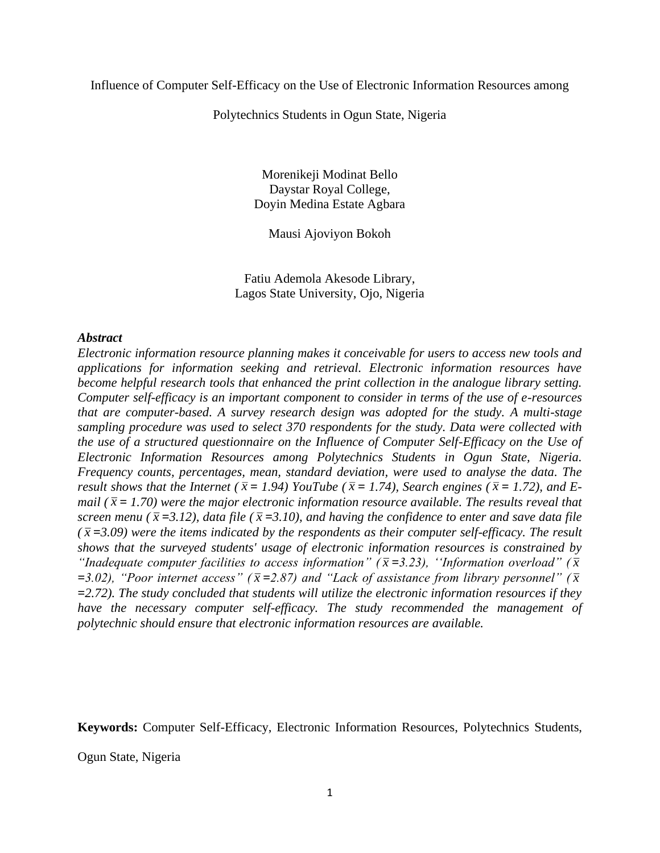Influence of Computer Self-Efficacy on the Use of Electronic Information Resources among

Polytechnics Students in Ogun State, Nigeria

Morenikeji Modinat Bello Daystar Royal College, Doyin Medina Estate Agbara

Mausi Ajoviyon Bokoh

Fatiu Ademola Akesode Library, Lagos State University, Ojo, Nigeria

## *Abstract*

*Electronic information resource planning makes it conceivable for users to access new tools and applications for information seeking and retrieval. Electronic information resources have become helpful research tools that enhanced the print collection in the analogue library setting. Computer self-efficacy is an important component to consider in terms of the use of e-resources that are computer-based. A survey research design was adopted for the study. A multi-stage sampling procedure was used to select 370 respondents for the study. Data were collected with the use of a structured questionnaire on the Influence of Computer Self-Efficacy on the Use of Electronic Information Resources among Polytechnics Students in Ogun State, Nigeria. Frequency counts, percentages, mean, standard deviation, were used to analyse the data. The result shows that the Internet (* $\bar{x}$  = 1.94) YouTube ( $\bar{x}$  = 1.74), Search engines ( $\bar{x}$  = 1.72), and E*mail* ( $\bar{x}$  = 1.70) were the major electronic information resource available. The results reveal that *screen menu* ( $\bar{x}$  =3.12), data file ( $\bar{x}$  =3.10), and having the confidence to enter and save data file  $(\bar{x} = 3.09)$  were the items indicated by the respondents as their computer self-efficacy. The result *shows that the surveyed students' usage of electronic information resources is constrained by*  "Inadequate computer facilities to access information" ( $\bar{x}$ =3.23), "Information overload" ( $\bar{x}$ )  $=$  3.02), "Poor internet access" ( $\bar{x}$  = 2.87) and "Lack of assistance from library personnel" ( $\bar{x}$ *=2.72). The study concluded that students will utilize the electronic information resources if they have the necessary computer self-efficacy. The study recommended the management of polytechnic should ensure that electronic information resources are available.*

**Keywords:** Computer Self-Efficacy, Electronic Information Resources, Polytechnics Students,

Ogun State, Nigeria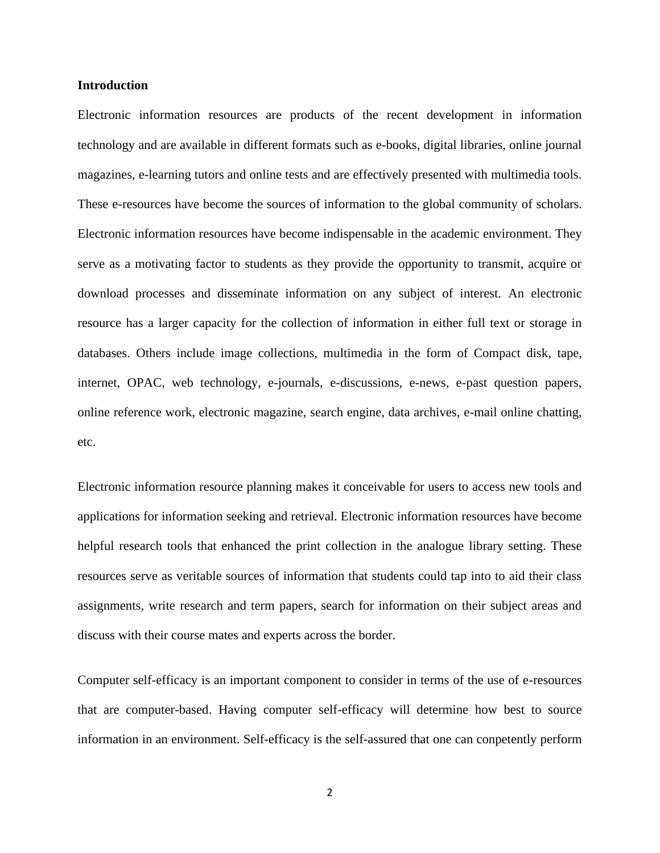## **Introduction**

Electronic information resources are products of the recent development in information technology and are available in different formats such as e-books, digital libraries, online journal magazines, e-learning tutors and online tests and are effectively presented with multimedia tools. These e-resources have become the sources of information to the global community of scholars. Electronic information resources have become indispensable in the academic environment. They serve as a motivating factor to students as they provide the opportunity to transmit, acquire or download processes and disseminate information on any subject of interest. An electronic resource has a larger capacity for the collection of information in either full text or storage in databases. Others include image collections, multimedia in the form of Compact disk, tape, internet, OPAC, web technology, e-journals, e-discussions, e-news, e-past question papers, online reference work, electronic magazine, search engine, data archives, e-mail online chatting, etc.

Electronic information resource planning makes it conceivable for users to access new tools and applications for information seeking and retrieval. Electronic information resources have become helpful research tools that enhanced the print collection in the analogue library setting. These resources serve as veritable sources of information that students could tap into to aid their class assignments, write research and term papers, search for information on their subject areas and discuss with their course mates and experts across the border.

Computer self-efficacy is an important component to consider in terms of the use of e-resources that are computer-based. Having computer self-efficacy will determine how best to source information in an environment. Self-efficacy is the self-assured that one can conpetently perform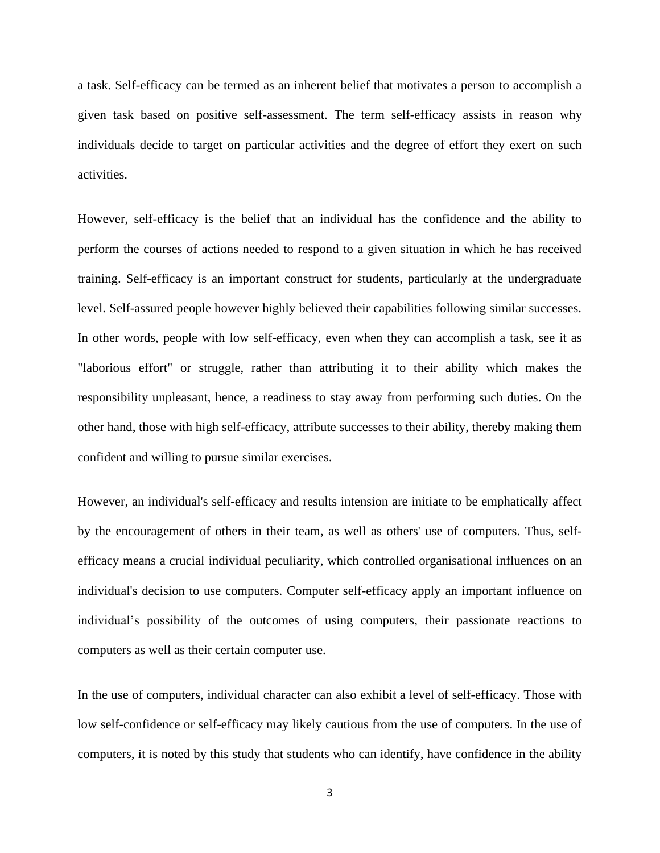a task. Self-efficacy can be termed as an inherent belief that motivates a person to accomplish a given task based on positive self-assessment. The term self-efficacy assists in reason why individuals decide to target on particular activities and the degree of effort they exert on such activities.

However, self-efficacy is the belief that an individual has the confidence and the ability to perform the courses of actions needed to respond to a given situation in which he has received training. Self-efficacy is an important construct for students, particularly at the undergraduate level. Self-assured people however highly believed their capabilities following similar successes. In other words, people with low self-efficacy, even when they can accomplish a task, see it as "laborious effort" or struggle, rather than attributing it to their ability which makes the responsibility unpleasant, hence, a readiness to stay away from performing such duties. On the other hand, those with high self-efficacy, attribute successes to their ability, thereby making them confident and willing to pursue similar exercises.

However, an individual's self-efficacy and results intension are initiate to be emphatically affect by the encouragement of others in their team, as well as others' use of computers. Thus, selfefficacy means a crucial individual peculiarity, which controlled organisational influences on an individual's decision to use computers. Computer self-efficacy apply an important influence on individual's possibility of the outcomes of using computers, their passionate reactions to computers as well as their certain computer use.

In the use of computers, individual character can also exhibit a level of self-efficacy. Those with low self-confidence or self-efficacy may likely cautious from the use of computers. In the use of computers, it is noted by this study that students who can identify, have confidence in the ability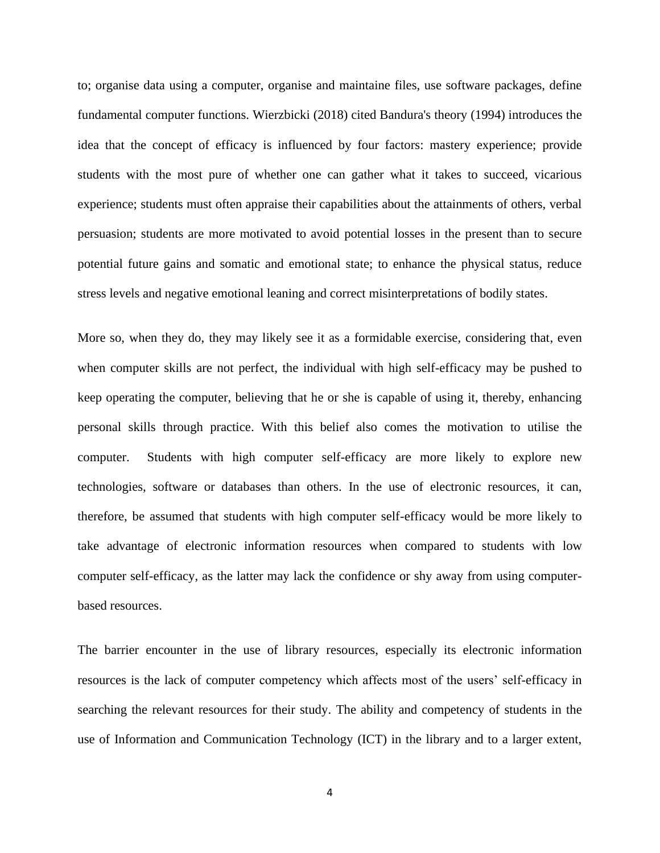to; organise data using a computer, organise and maintaine files, use software packages, define fundamental computer functions. Wierzbicki (2018) cited Bandura's theory (1994) introduces the idea that the concept of efficacy is influenced by four factors: mastery experience; provide students with the most pure of whether one can gather what it takes to succeed, vicarious experience; students must often appraise their capabilities about the attainments of others, verbal persuasion; students are more motivated to avoid potential losses in the present than to secure potential future gains and somatic and emotional state; to enhance the physical status, reduce stress levels and negative emotional leaning and correct misinterpretations of bodily states.

More so, when they do, they may likely see it as a formidable exercise, considering that, even when computer skills are not perfect, the individual with high self-efficacy may be pushed to keep operating the computer, believing that he or she is capable of using it, thereby, enhancing personal skills through practice. With this belief also comes the motivation to utilise the computer. Students with high computer self-efficacy are more likely to explore new technologies, software or databases than others. In the use of electronic resources, it can, therefore, be assumed that students with high computer self-efficacy would be more likely to take advantage of electronic information resources when compared to students with low computer self-efficacy, as the latter may lack the confidence or shy away from using computerbased resources.

The barrier encounter in the use of library resources, especially its electronic information resources is the lack of computer competency which affects most of the users' self-efficacy in searching the relevant resources for their study. The ability and competency of students in the use of Information and Communication Technology (ICT) in the library and to a larger extent,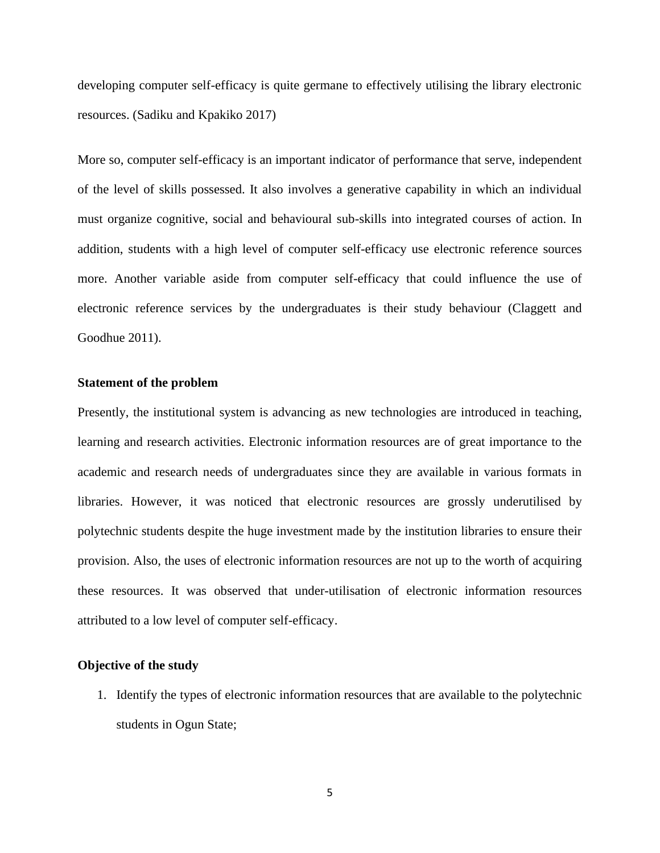developing computer self-efficacy is quite germane to effectively utilising the library electronic resources. (Sadiku and Kpakiko 2017)

More so, computer self-efficacy is an important indicator of performance that serve, independent of the level of skills possessed. It also involves a generative capability in which an individual must organize cognitive, social and behavioural sub-skills into integrated courses of action. In addition, students with a high level of computer self-efficacy use electronic reference sources more. Another variable aside from computer self-efficacy that could influence the use of electronic reference services by the undergraduates is their study behaviour (Claggett and Goodhue 2011).

## **Statement of the problem**

Presently, the institutional system is advancing as new technologies are introduced in teaching, learning and research activities. Electronic information resources are of great importance to the academic and research needs of undergraduates since they are available in various formats in libraries. However, it was noticed that electronic resources are grossly underutilised by polytechnic students despite the huge investment made by the institution libraries to ensure their provision. Also, the uses of electronic information resources are not up to the worth of acquiring these resources. It was observed that under-utilisation of electronic information resources attributed to a low level of computer self-efficacy.

## **Objective of the study**

1. Identify the types of electronic information resources that are available to the polytechnic students in Ogun State;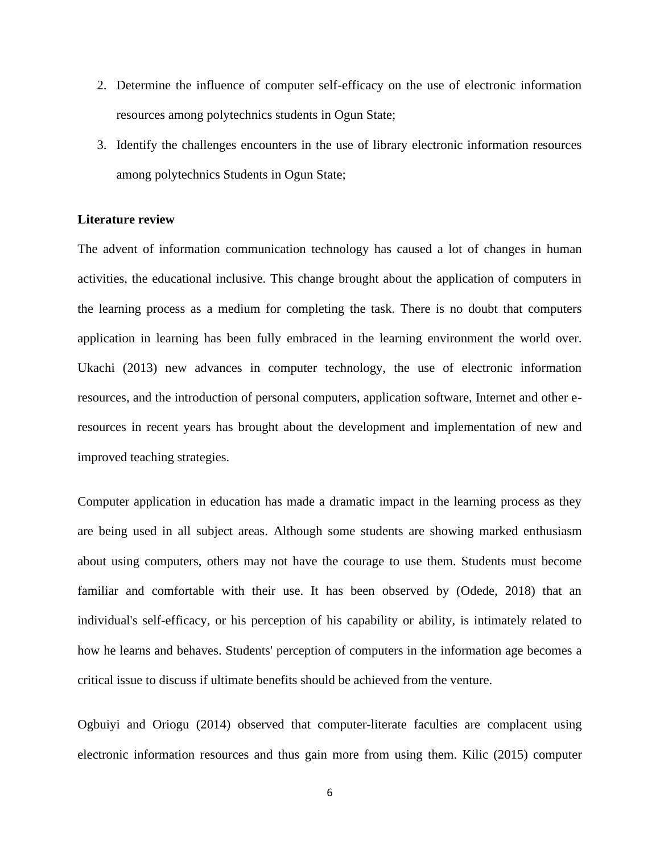- 2. Determine the influence of computer self-efficacy on the use of electronic information resources among polytechnics students in Ogun State;
- 3. Identify the challenges encounters in the use of library electronic information resources among polytechnics Students in Ogun State;

## **Literature review**

The advent of information communication technology has caused a lot of changes in human activities, the educational inclusive. This change brought about the application of computers in the learning process as a medium for completing the task. There is no doubt that computers application in learning has been fully embraced in the learning environment the world over. Ukachi (2013) new advances in computer technology, the use of electronic information resources, and the introduction of personal computers, application software, Internet and other eresources in recent years has brought about the development and implementation of new and improved teaching strategies.

Computer application in education has made a dramatic impact in the learning process as they are being used in all subject areas. Although some students are showing marked enthusiasm about using computers, others may not have the courage to use them. Students must become familiar and comfortable with their use. It has been observed by (Odede, 2018) that an individual's self-efficacy, or his perception of his capability or ability, is intimately related to how he learns and behaves. Students' perception of computers in the information age becomes a critical issue to discuss if ultimate benefits should be achieved from the venture.

Ogbuiyi and Oriogu (2014) observed that computer-literate faculties are complacent using electronic information resources and thus gain more from using them. Kilic (2015) computer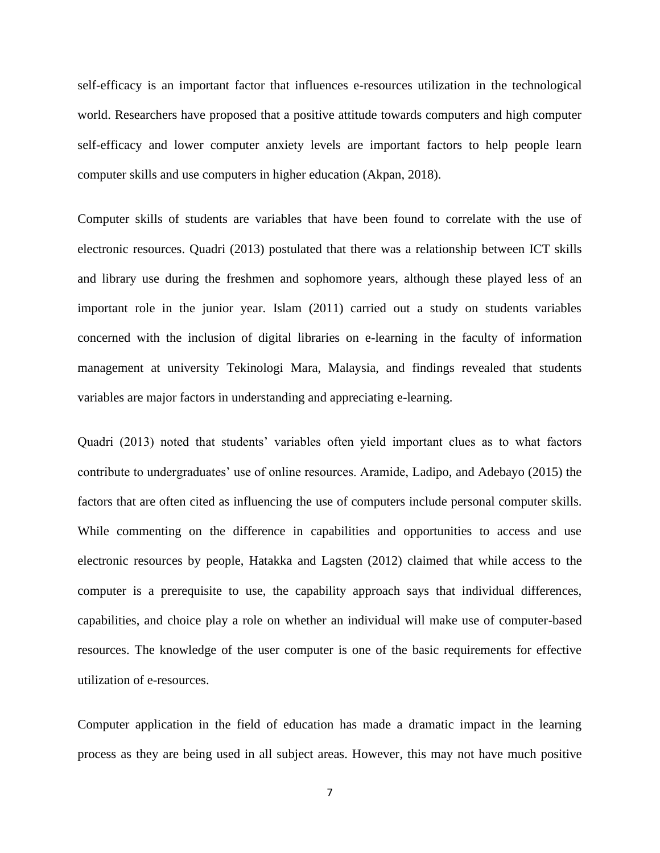self-efficacy is an important factor that influences e-resources utilization in the technological world. Researchers have proposed that a positive attitude towards computers and high computer self-efficacy and lower computer anxiety levels are important factors to help people learn computer skills and use computers in higher education (Akpan, 2018).

Computer skills of students are variables that have been found to correlate with the use of electronic resources. Quadri (2013) postulated that there was a relationship between ICT skills and library use during the freshmen and sophomore years, although these played less of an important role in the junior year. Islam (2011) carried out a study on students variables concerned with the inclusion of digital libraries on e-learning in the faculty of information management at university Tekinologi Mara, Malaysia, and findings revealed that students variables are major factors in understanding and appreciating e-learning.

Quadri (2013) noted that students' variables often yield important clues as to what factors contribute to undergraduates' use of online resources. Aramide, Ladipo, and Adebayo (2015) the factors that are often cited as influencing the use of computers include personal computer skills. While commenting on the difference in capabilities and opportunities to access and use electronic resources by people, Hatakka and Lagsten (2012) claimed that while access to the computer is a prerequisite to use, the capability approach says that individual differences, capabilities, and choice play a role on whether an individual will make use of computer-based resources. The knowledge of the user computer is one of the basic requirements for effective utilization of e-resources.

Computer application in the field of education has made a dramatic impact in the learning process as they are being used in all subject areas. However, this may not have much positive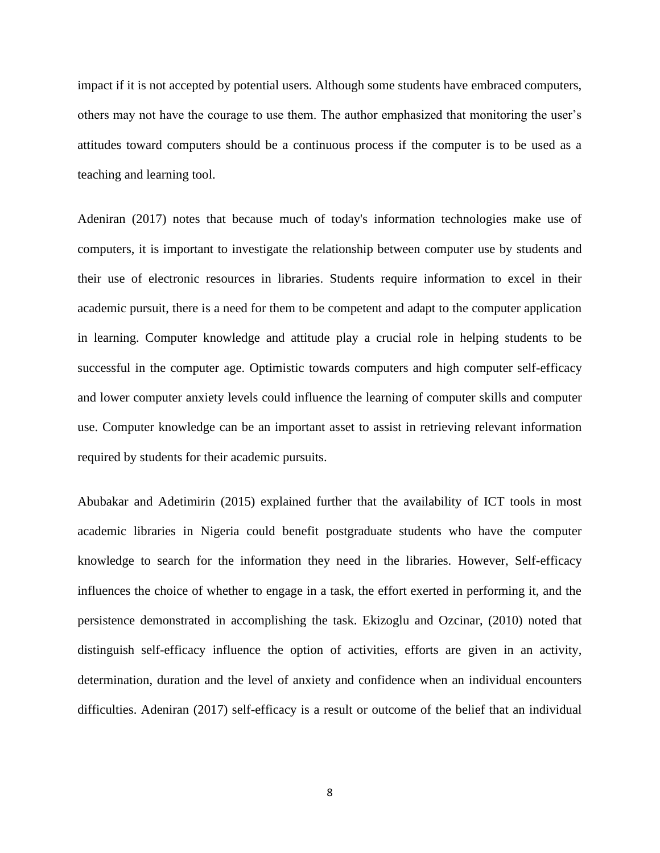impact if it is not accepted by potential users. Although some students have embraced computers, others may not have the courage to use them. The author emphasized that monitoring the user's attitudes toward computers should be a continuous process if the computer is to be used as a teaching and learning tool.

Adeniran (2017) notes that because much of today's information technologies make use of computers, it is important to investigate the relationship between computer use by students and their use of electronic resources in libraries. Students require information to excel in their academic pursuit, there is a need for them to be competent and adapt to the computer application in learning. Computer knowledge and attitude play a crucial role in helping students to be successful in the computer age. Optimistic towards computers and high computer self-efficacy and lower computer anxiety levels could influence the learning of computer skills and computer use. Computer knowledge can be an important asset to assist in retrieving relevant information required by students for their academic pursuits.

Abubakar and Adetimirin (2015) explained further that the availability of ICT tools in most academic libraries in Nigeria could benefit postgraduate students who have the computer knowledge to search for the information they need in the libraries. However, Self-efficacy influences the choice of whether to engage in a task, the effort exerted in performing it, and the persistence demonstrated in accomplishing the task. Ekizoglu and Ozcinar, (2010) noted that distinguish self-efficacy influence the option of activities, efforts are given in an activity, determination, duration and the level of anxiety and confidence when an individual encounters difficulties. Adeniran (2017) self-efficacy is a result or outcome of the belief that an individual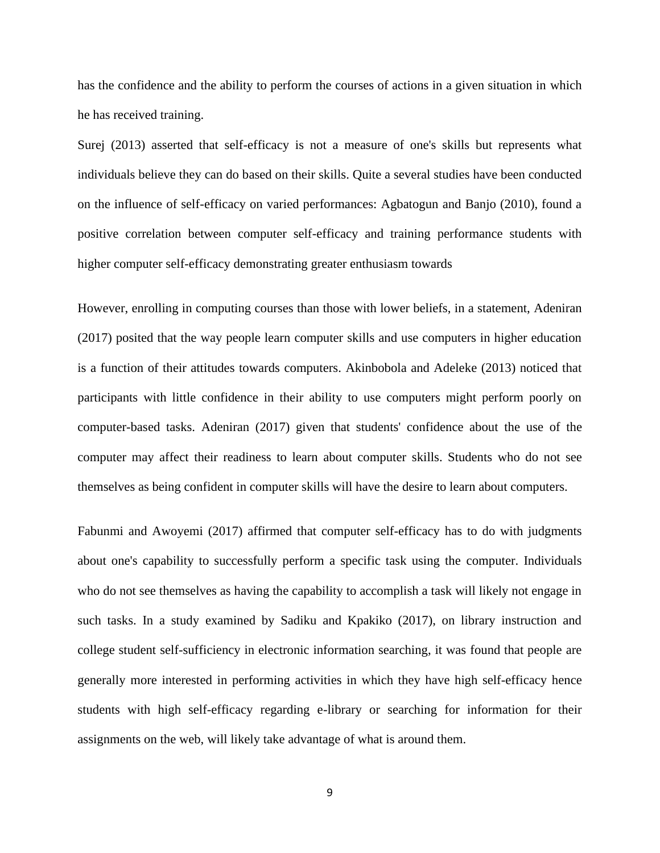has the confidence and the ability to perform the courses of actions in a given situation in which he has received training.

Surej (2013) asserted that self-efficacy is not a measure of one's skills but represents what individuals believe they can do based on their skills. Quite a several studies have been conducted on the influence of self-efficacy on varied performances: Agbatogun and Banjo (2010), found a positive correlation between computer self-efficacy and training performance students with higher computer self-efficacy demonstrating greater enthusiasm towards

However, enrolling in computing courses than those with lower beliefs, in a statement, Adeniran (2017) posited that the way people learn computer skills and use computers in higher education is a function of their attitudes towards computers. Akinbobola and Adeleke (2013) noticed that participants with little confidence in their ability to use computers might perform poorly on computer-based tasks. Adeniran (2017) given that students' confidence about the use of the computer may affect their readiness to learn about computer skills. Students who do not see themselves as being confident in computer skills will have the desire to learn about computers.

Fabunmi and Awoyemi (2017) affirmed that computer self-efficacy has to do with judgments about one's capability to successfully perform a specific task using the computer. Individuals who do not see themselves as having the capability to accomplish a task will likely not engage in such tasks. In a study examined by Sadiku and Kpakiko (2017), on library instruction and college student self-sufficiency in electronic information searching, it was found that people are generally more interested in performing activities in which they have high self-efficacy hence students with high self-efficacy regarding e-library or searching for information for their assignments on the web, will likely take advantage of what is around them.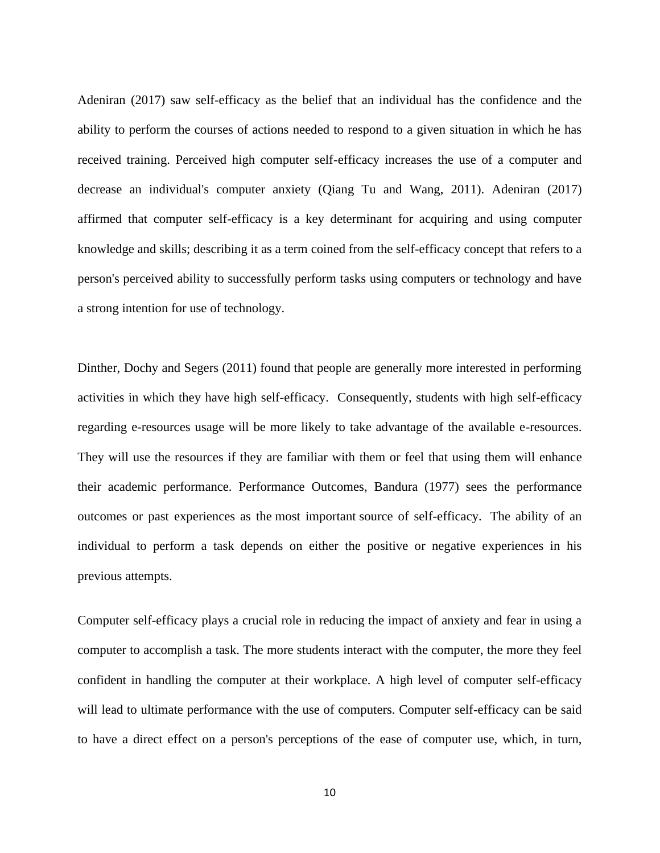Adeniran (2017) saw self-efficacy as the belief that an individual has the confidence and the ability to perform the courses of actions needed to respond to a given situation in which he has received training. Perceived high computer self-efficacy increases the use of a computer and decrease an individual's computer anxiety (Qiang Tu and Wang, 2011). Adeniran (2017) affirmed that computer self-efficacy is a key determinant for acquiring and using computer knowledge and skills; describing it as a term coined from the self-efficacy concept that refers to a person's perceived ability to successfully perform tasks using computers or technology and have a strong intention for use of technology.

Dinther, Dochy and Segers (2011) found that people are generally more interested in performing activities in which they have high self-efficacy. Consequently, students with high self-efficacy regarding e-resources usage will be more likely to take advantage of the available e-resources. They will use the resources if they are familiar with them or feel that using them will enhance their academic performance. Performance Outcomes, Bandura (1977) sees the performance outcomes or past experiences as the most important source of self-efficacy. The ability of an individual to perform a task depends on either the positive or negative experiences in his previous attempts.

Computer self-efficacy plays a crucial role in reducing the impact of anxiety and fear in using a computer to accomplish a task. The more students interact with the computer, the more they feel confident in handling the computer at their workplace. A high level of computer self-efficacy will lead to ultimate performance with the use of computers. Computer self-efficacy can be said to have a direct effect on a person's perceptions of the ease of computer use, which, in turn,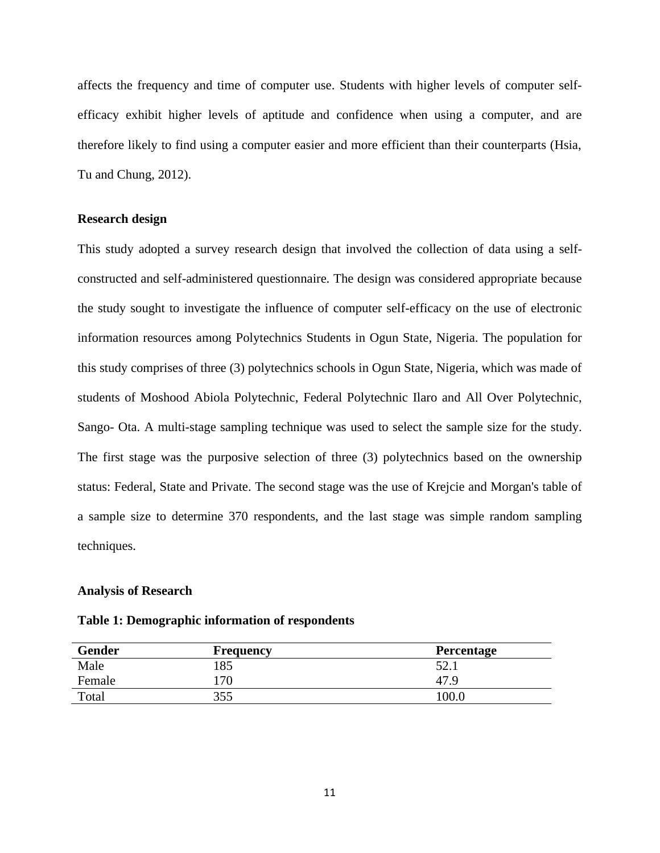affects the frequency and time of computer use. Students with higher levels of computer selfefficacy exhibit higher levels of aptitude and confidence when using a computer, and are therefore likely to find using a computer easier and more efficient than their counterparts (Hsia, Tu and Chung, 2012).

## **Research design**

This study adopted a survey research design that involved the collection of data using a selfconstructed and self-administered questionnaire. The design was considered appropriate because the study sought to investigate the influence of computer self-efficacy on the use of electronic information resources among Polytechnics Students in Ogun State, Nigeria. The population for this study comprises of three (3) polytechnics schools in Ogun State, Nigeria, which was made of students of Moshood Abiola Polytechnic, Federal Polytechnic Ilaro and All Over Polytechnic, Sango- Ota. A multi-stage sampling technique was used to select the sample size for the study. The first stage was the purposive selection of three (3) polytechnics based on the ownership status: Federal, State and Private. The second stage was the use of Krejcie and Morgan's table of a sample size to determine 370 respondents, and the last stage was simple random sampling techniques.

#### **Analysis of Research**

|  |  | Table 1: Demographic information of respondents |
|--|--|-------------------------------------------------|
|  |  |                                                 |

| <b>Gender</b> | <b>Frequency</b> | <b>Percentage</b> |
|---------------|------------------|-------------------|
| Male          | .85              | 52.1              |
| Female        | .70              | 47.9              |
| Total         | 355              | 100.              |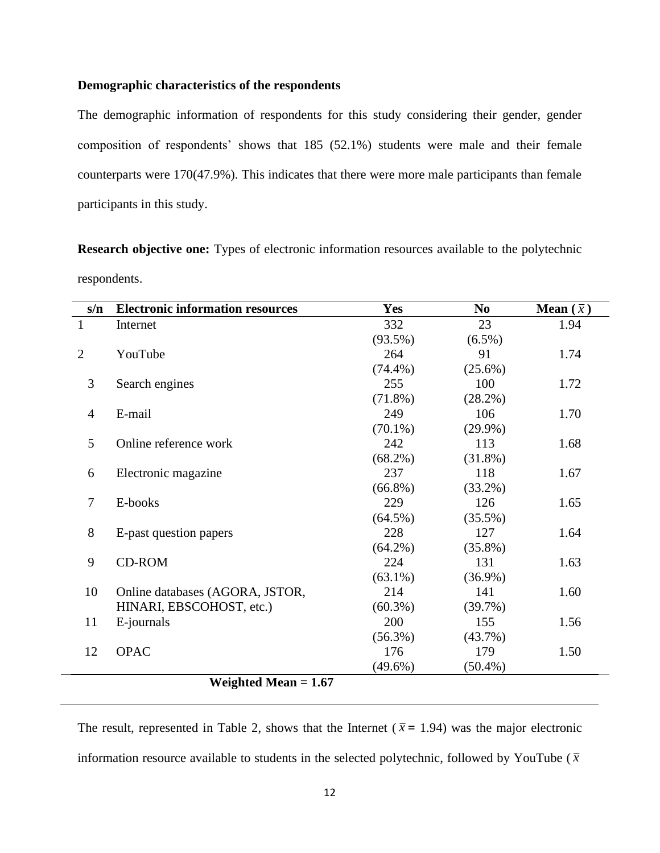## **Demographic characteristics of the respondents**

The demographic information of respondents for this study considering their gender, gender composition of respondents' shows that 185 (52.1%) students were male and their female counterparts were 170(47.9%). This indicates that there were more male participants than female participants in this study.

**Research objective one:** Types of electronic information resources available to the polytechnic respondents.

| s/n            | <b>Electronic information resources</b> | <b>Yes</b> | N <sub>0</sub> | <b>Mean</b> $(\bar{x})$ |
|----------------|-----------------------------------------|------------|----------------|-------------------------|
| $\mathbf{1}$   | Internet                                | 332        | 23             | 1.94                    |
|                |                                         | $(93.5\%)$ | $(6.5\%)$      |                         |
| $\overline{2}$ | YouTube                                 | 264        | 91             | 1.74                    |
|                |                                         | $(74.4\%)$ | $(25.6\%)$     |                         |
| 3              | Search engines                          | 255        | 100            | 1.72                    |
|                |                                         | $(71.8\%)$ | $(28.2\%)$     |                         |
| $\overline{4}$ | E-mail                                  | 249        | 106            | 1.70                    |
|                |                                         | $(70.1\%)$ | $(29.9\%)$     |                         |
| 5              | Online reference work                   | 242        | 113            | 1.68                    |
|                |                                         | $(68.2\%)$ | $(31.8\%)$     |                         |
| 6              | Electronic magazine                     | 237        | 118            | 1.67                    |
|                |                                         | $(66.8\%)$ | $(33.2\%)$     |                         |
| $\overline{7}$ | E-books                                 | 229        | 126            | 1.65                    |
|                |                                         | $(64.5\%)$ | $(35.5\%)$     |                         |
| 8              | E-past question papers                  | 228        | 127            | 1.64                    |
|                |                                         | $(64.2\%)$ | $(35.8\%)$     |                         |
| 9              | <b>CD-ROM</b>                           | 224        | 131            | 1.63                    |
|                |                                         | $(63.1\%)$ | $(36.9\%)$     |                         |
| 10             | Online databases (AGORA, JSTOR,         | 214        | 141            | 1.60                    |
|                | HINARI, EBSCOHOST, etc.)                | $(60.3\%)$ | $(39.7\%)$     |                         |
| 11             | E-journals                              | 200        | 155            | 1.56                    |
|                |                                         | $(56.3\%)$ | $(43.7\%)$     |                         |
| 12             | <b>OPAC</b>                             | 176        | 179            | 1.50                    |
|                |                                         | $(49.6\%)$ | $(50.4\%)$     |                         |
|                | Weighted Mean $= 1.67$                  |            |                |                         |

The result, represented in Table 2, shows that the Internet ( $\bar{x}$  = 1.94) was the major electronic information resource available to students in the selected polytechnic, followed by YouTube ( $\bar{x}$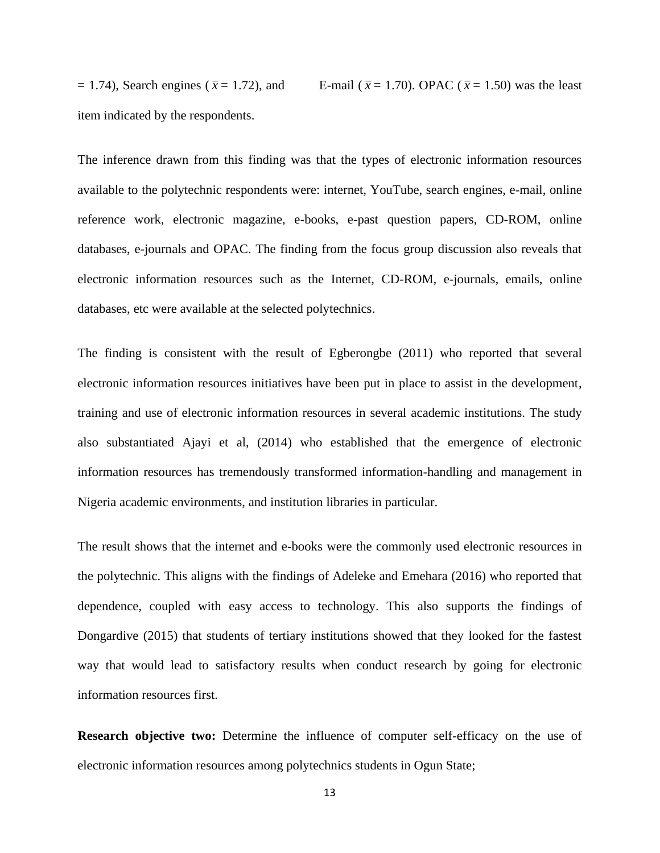$= 1.74$ ), Search engines ( $\bar{x} = 1.72$ ), and E-mail (  $\bar{x}$  = 1.70). OPAC ( $\bar{x}$  = 1.50) was the least item indicated by the respondents.

The inference drawn from this finding was that the types of electronic information resources available to the polytechnic respondents were: internet, YouTube, search engines, e-mail, online reference work, electronic magazine, e-books, e-past question papers, CD-ROM, online databases, e-journals and OPAC. The finding from the focus group discussion also reveals that electronic information resources such as the Internet, CD-ROM, e-journals, emails, online databases, etc were available at the selected polytechnics.

The finding is consistent with the result of Egberongbe (2011) who reported that several electronic information resources initiatives have been put in place to assist in the development, training and use of electronic information resources in several academic institutions. The study also substantiated Ajayi et al, (2014) who established that the emergence of electronic information resources has tremendously transformed information-handling and management in Nigeria academic environments, and institution libraries in particular.

The result shows that the internet and e-books were the commonly used electronic resources in the polytechnic. This aligns with the findings of Adeleke and Emehara (2016) who reported that dependence, coupled with easy access to technology. This also supports the findings of Dongardive (2015) that students of tertiary institutions showed that they looked for the fastest way that would lead to satisfactory results when conduct research by going for electronic information resources first.

**Research objective two:** Determine the influence of computer self-efficacy on the use of electronic information resources among polytechnics students in Ogun State;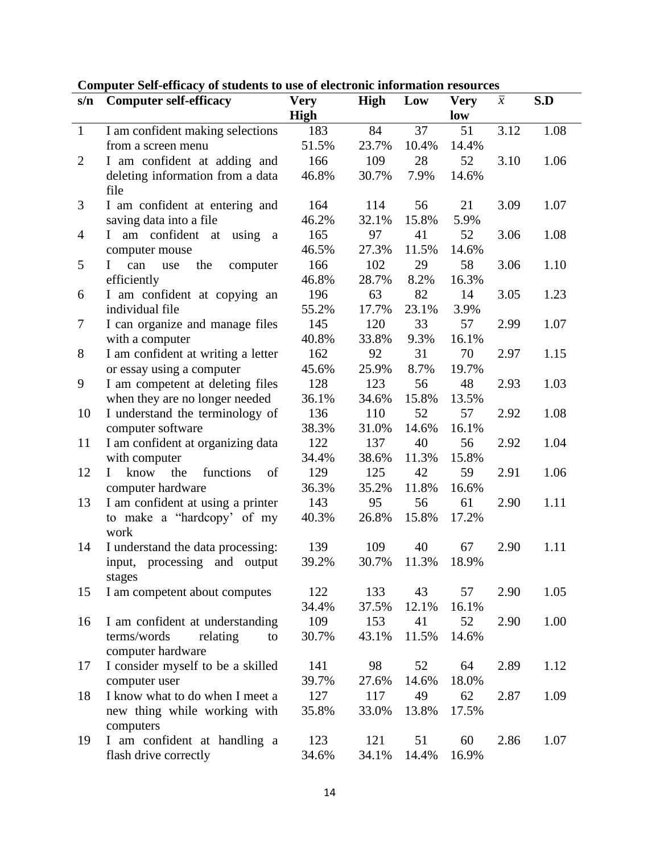| s/n            | <b>Computer self-efficacy</b>                           | <b>Very</b> | <b>High</b> | Low   | <b>Very</b> | $\overline{x}$ | S.D  |
|----------------|---------------------------------------------------------|-------------|-------------|-------|-------------|----------------|------|
|                |                                                         | High        |             |       | low         |                |      |
| $\mathbf{1}$   | I am confident making selections                        | 183         | 84          | 37    | 51          | 3.12           | 1.08 |
|                | from a screen menu                                      | 51.5%       | 23.7%       | 10.4% | 14.4%       |                |      |
| $\overline{2}$ | I am confident at adding and                            | 166         | 109         | 28    | 52          | 3.10           | 1.06 |
|                | deleting information from a data                        | 46.8%       | 30.7%       | 7.9%  | 14.6%       |                |      |
|                | file                                                    |             |             |       |             |                |      |
| 3              | I am confident at entering and                          | 164         | 114         | 56    | 21          | 3.09           | 1.07 |
|                | saving data into a file                                 | 46.2%       | 32.1%       | 15.8% | 5.9%        |                |      |
| $\overline{4}$ | using<br>am confident<br>$\bf{I}$<br>at<br><sub>a</sub> | 165         | 97          | 41    | 52          | 3.06           | 1.08 |
|                | computer mouse                                          | 46.5%       | 27.3%       | 11.5% | 14.6%       |                |      |
| 5              | Ι<br>the<br>can<br>use<br>computer                      | 166         | 102         | 29    | 58          | 3.06           | 1.10 |
|                | efficiently                                             | 46.8%       | 28.7%       | 8.2%  | 16.3%       |                |      |
| 6              | I am confident at copying an                            | 196         | 63          | 82    | 14          | 3.05           | 1.23 |
|                | individual file                                         | 55.2%       | 17.7%       | 23.1% | 3.9%        |                |      |
| 7              | I can organize and manage files                         | 145         | 120         | 33    | 57          | 2.99           | 1.07 |
|                | with a computer                                         | 40.8%       | 33.8%       | 9.3%  | 16.1%       |                |      |
| 8              | I am confident at writing a letter                      | 162         | 92          | 31    | 70          | 2.97           | 1.15 |
|                | or essay using a computer                               | 45.6%       | 25.9%       | 8.7%  | 19.7%       |                |      |
| 9              | I am competent at deleting files                        | 128         | 123         | 56    | 48          | 2.93           | 1.03 |
|                | when they are no longer needed                          | 36.1%       | 34.6%       | 15.8% | 13.5%       |                |      |
| 10             | I understand the terminology of                         | 136         | 110         | 52    | 57          | 2.92           | 1.08 |
|                | computer software                                       | 38.3%       | 31.0%       | 14.6% | 16.1%       |                |      |
| 11             | I am confident at organizing data                       | 122         | 137         | 40    | 56          | 2.92           | 1.04 |
|                | with computer                                           | 34.4%       | 38.6%       | 11.3% | 15.8%       |                |      |
| 12             | know<br>the<br>functions<br>of<br>$\mathbf{I}$          | 129         | 125         | 42    | 59          | 2.91           | 1.06 |
|                | computer hardware                                       | 36.3%       | 35.2%       | 11.8% | 16.6%       |                |      |
| 13             | I am confident at using a printer                       | 143         | 95          | 56    | 61          | 2.90           | 1.11 |
|                | to make a "hardcopy' of my                              | 40.3%       | 26.8%       | 15.8% | 17.2%       |                |      |
|                | work                                                    |             |             |       |             |                |      |
| 14             | I understand the data processing:                       | 139         | 109         | 40    | 67          | 2.90           | 1.11 |
|                | input, processing and output                            | 39.2%       | 30.7%       | 11.3% | 18.9%       |                |      |
|                | stages                                                  |             |             |       |             |                |      |
| 15             | I am competent about computes                           | 122         | 133         | 43    | 57          | 2.90           | 1.05 |
|                |                                                         | 34.4%       | 37.5%       | 12.1% | 16.1%       |                |      |
| 16             | I am confident at understanding                         | 109         | 153         | 41    | 52          | 2.90           | 1.00 |
|                | terms/words<br>relating<br>to                           | 30.7%       | 43.1%       | 11.5% | 14.6%       |                |      |
|                | computer hardware                                       |             |             |       |             |                |      |
| 17             | I consider myself to be a skilled                       | 141         | 98          | 52    | 64          | 2.89           | 1.12 |
|                | computer user                                           | 39.7%       | 27.6%       | 14.6% | 18.0%       |                |      |
| 18             | I know what to do when I meet a                         | 127         | 117         | 49    | 62          | 2.87           | 1.09 |
|                | new thing while working with                            | 35.8%       | 33.0%       | 13.8% | 17.5%       |                |      |
|                | computers                                               |             |             |       |             |                |      |
| 19             | I am confident at handling a                            | 123         | 121         | 51    | 60          | 2.86           | 1.07 |
|                | flash drive correctly                                   | 34.6%       | 34.1%       | 14.4% | 16.9%       |                |      |

## **Computer Self-efficacy of students to use of electronic information resources**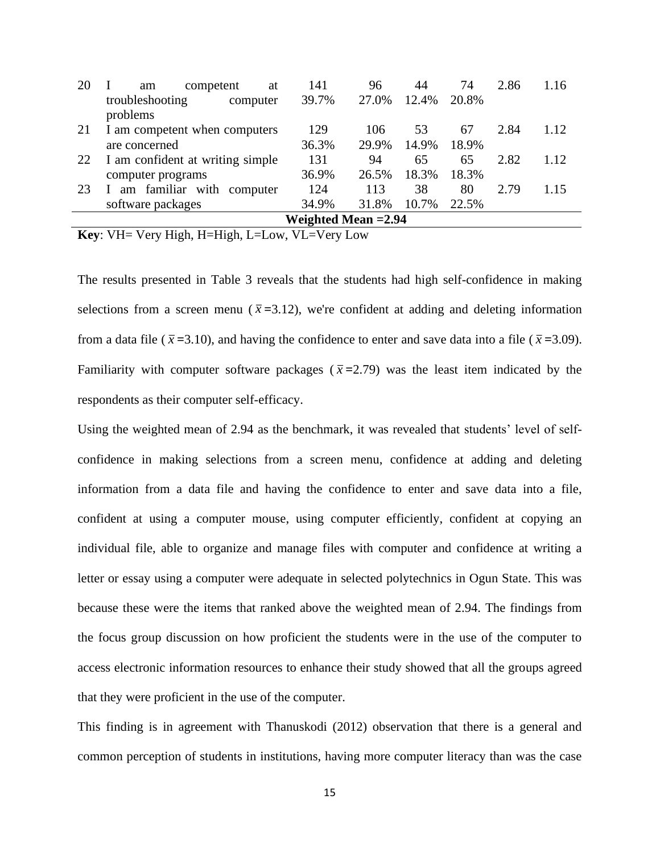| 20 | competent<br>at<br>am                   | 141   | 96    | 44    | 74    | 2.86 | 1.16 |  |
|----|-----------------------------------------|-------|-------|-------|-------|------|------|--|
|    | troubleshooting<br>computer<br>problems | 39.7% | 27.0% | 12.4% | 20.8% |      |      |  |
| 21 | I am competent when computers           | 129   | 106   | 53    | 67    | 2.84 | 1.12 |  |
|    | are concerned                           | 36.3% | 29.9% | 14.9% | 18.9% |      |      |  |
| 22 | I am confident at writing simple        | 131   | 94    | 65    | 65    | 2.82 | 1.12 |  |
|    | computer programs                       | 36.9% | 26.5% | 18.3% | 18.3% |      |      |  |
| 23 | am familiar with<br>computer            | 124   | 113   | 38    | 80    | 2.79 | 1.15 |  |
|    | software packages                       | 34.9% | 31.8% | 10.7% | 22.5% |      |      |  |
|    | <b>Weighted Mean = 2.94</b>             |       |       |       |       |      |      |  |
|    |                                         |       |       |       |       |      |      |  |

**Key**: VH= Very High, H=High, L=Low, VL=Very Low

The results presented in Table 3 reveals that the students had high self-confidence in making selections from a screen menu ( $\bar{x}$ =3.12), we're confident at adding and deleting information from a data file ( $\bar{x}$  =3.10), and having the confidence to enter and save data into a file ( $\bar{x}$  =3.09). Familiarity with computer software packages ( $\bar{x}$ =2.79) was the least item indicated by the respondents as their computer self-efficacy.

Using the weighted mean of 2.94 as the benchmark, it was revealed that students' level of selfconfidence in making selections from a screen menu, confidence at adding and deleting information from a data file and having the confidence to enter and save data into a file, confident at using a computer mouse, using computer efficiently, confident at copying an individual file, able to organize and manage files with computer and confidence at writing a letter or essay using a computer were adequate in selected polytechnics in Ogun State. This was because these were the items that ranked above the weighted mean of 2.94. The findings from the focus group discussion on how proficient the students were in the use of the computer to access electronic information resources to enhance their study showed that all the groups agreed that they were proficient in the use of the computer.

This finding is in agreement with Thanuskodi (2012) observation that there is a general and common perception of students in institutions, having more computer literacy than was the case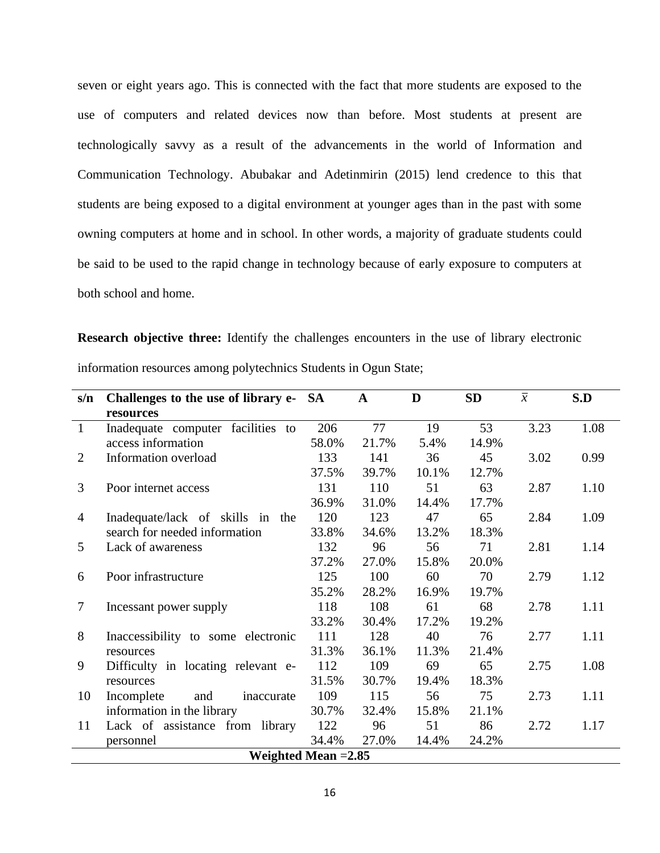seven or eight years ago. This is connected with the fact that more students are exposed to the use of computers and related devices now than before. Most students at present are technologically savvy as a result of the advancements in the world of Information and Communication Technology. Abubakar and Adetinmirin (2015) lend credence to this that students are being exposed to a digital environment at younger ages than in the past with some owning computers at home and in school. In other words, a majority of graduate students could be said to be used to the rapid change in technology because of early exposure to computers at both school and home.

**Research objective three:** Identify the challenges encounters in the use of library electronic information resources among polytechnics Students in Ogun State;

| s/n          | Challenges to the use of library e- SA |       | A     | D     | <b>SD</b> | $\overline{x}$ | S.D  |  |  |
|--------------|----------------------------------------|-------|-------|-------|-----------|----------------|------|--|--|
|              | resources                              |       |       |       |           |                |      |  |  |
| $\mathbf{1}$ | Inadequate computer facilities to      | 206   | 77    | 19    | 53        | 3.23           | 1.08 |  |  |
|              | access information                     | 58.0% | 21.7% | 5.4%  | 14.9%     |                |      |  |  |
| 2            | Information overload                   | 133   | 141   | 36    | 45        | 3.02           | 0.99 |  |  |
|              |                                        | 37.5% | 39.7% | 10.1% | 12.7%     |                |      |  |  |
| 3            | Poor internet access                   | 131   | 110   | 51    | 63        | 2.87           | 1.10 |  |  |
|              |                                        | 36.9% | 31.0% | 14.4% | 17.7%     |                |      |  |  |
| 4            | Inadequate/lack of skills in<br>the    | 120   | 123   | 47    | 65        | 2.84           | 1.09 |  |  |
|              | search for needed information          | 33.8% | 34.6% | 13.2% | 18.3%     |                |      |  |  |
| 5            | Lack of awareness                      | 132   | 96    | 56    | 71        | 2.81           | 1.14 |  |  |
|              |                                        | 37.2% | 27.0% | 15.8% | 20.0%     |                |      |  |  |
| 6            | Poor infrastructure                    | 125   | 100   | 60    | 70        | 2.79           | 1.12 |  |  |
|              |                                        | 35.2% | 28.2% | 16.9% | 19.7%     |                |      |  |  |
| $\tau$       | Incessant power supply                 | 118   | 108   | 61    | 68        | 2.78           | 1.11 |  |  |
|              |                                        | 33.2% | 30.4% | 17.2% | 19.2%     |                |      |  |  |
| 8            | Inaccessibility to some electronic     | 111   | 128   | 40    | 76        | 2.77           | 1.11 |  |  |
|              | resources                              | 31.3% | 36.1% | 11.3% | 21.4%     |                |      |  |  |
| 9            | Difficulty in locating relevant e-     | 112   | 109   | 69    | 65        | 2.75           | 1.08 |  |  |
|              | resources                              | 31.5% | 30.7% | 19.4% | 18.3%     |                |      |  |  |
| 10           | Incomplete<br>and<br>inaccurate        | 109   | 115   | 56    | 75        | 2.73           | 1.11 |  |  |
|              | information in the library             | 30.7% | 32.4% | 15.8% | 21.1%     |                |      |  |  |
| 11           | Lack of assistance from library        | 122   | 96    | 51    | 86        | 2.72           | 1.17 |  |  |
|              | personnel                              | 34.4% | 27.0% | 14.4% | 24.2%     |                |      |  |  |
|              | Weighted Mean $=2.85$                  |       |       |       |           |                |      |  |  |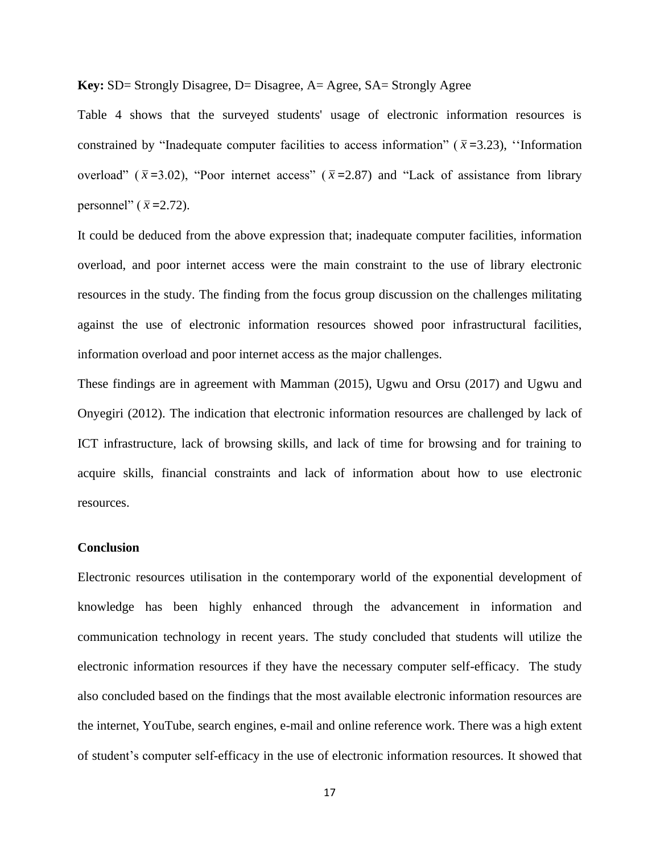## **Key:** SD= Strongly Disagree, D= Disagree, A= Agree, SA= Strongly Agree

Table 4 shows that the surveyed students' usage of electronic information resources is constrained by "Inadequate computer facilities to access information" ( $\bar{x}$ =3.23), "Information" overload" ( $\bar{x}$ =3.02), "Poor internet access" ( $\bar{x}$ =2.87) and "Lack of assistance from library personnel"  $(\bar{x} = 2.72)$ .

It could be deduced from the above expression that; inadequate computer facilities, information overload, and poor internet access were the main constraint to the use of library electronic resources in the study. The finding from the focus group discussion on the challenges militating against the use of electronic information resources showed poor infrastructural facilities, information overload and poor internet access as the major challenges.

These findings are in agreement with Mamman (2015), Ugwu and Orsu (2017) and Ugwu and Onyegiri (2012). The indication that electronic information resources are challenged by lack of ICT infrastructure, lack of browsing skills, and lack of time for browsing and for training to acquire skills, financial constraints and lack of information about how to use electronic resources.

## **Conclusion**

Electronic resources utilisation in the contemporary world of the exponential development of knowledge has been highly enhanced through the advancement in information and communication technology in recent years. The study concluded that students will utilize the electronic information resources if they have the necessary computer self-efficacy. The study also concluded based on the findings that the most available electronic information resources are the internet, YouTube, search engines, e-mail and online reference work. There was a high extent of student's computer self-efficacy in the use of electronic information resources. It showed that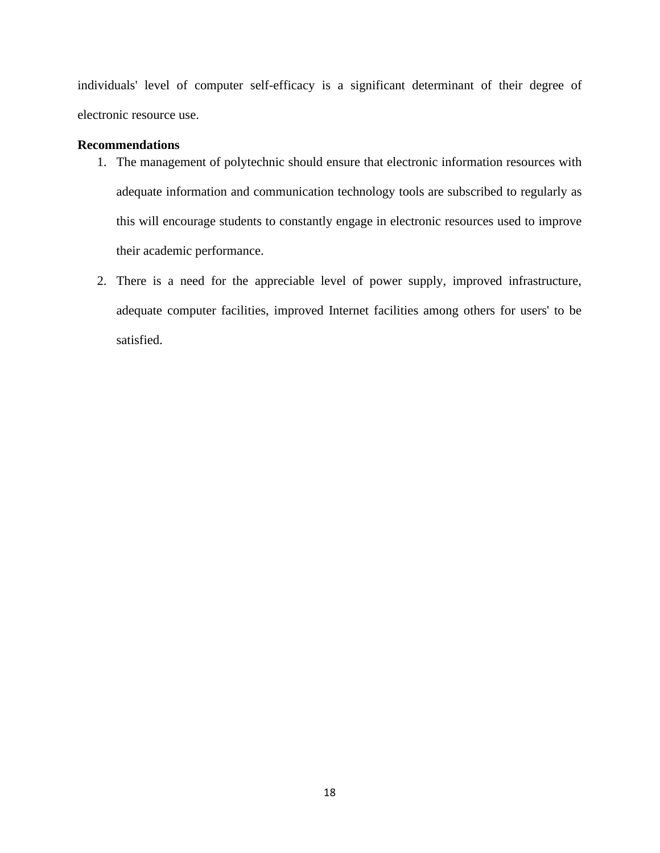individuals' level of computer self-efficacy is a significant determinant of their degree of electronic resource use.

## **Recommendations**

- 1. The management of polytechnic should ensure that electronic information resources with adequate information and communication technology tools are subscribed to regularly as this will encourage students to constantly engage in electronic resources used to improve their academic performance.
- 2. There is a need for the appreciable level of power supply, improved infrastructure, adequate computer facilities, improved Internet facilities among others for users' to be satisfied.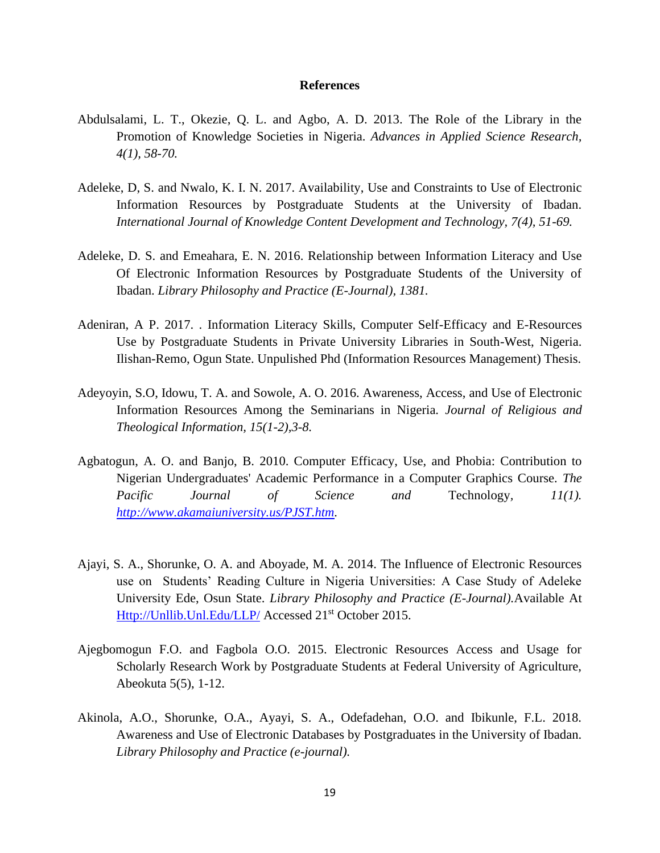#### **References**

- Abdulsalami, L. T., Okezie, Q. L. and Agbo, A. D. 2013. The Role of the Library in the Promotion of Knowledge Societies in Nigeria. *Advances in Applied Science Research, 4(1), 58-70.*
- Adeleke, D, S. and Nwalo, K. I. N. 2017. Availability, Use and Constraints to Use of Electronic Information Resources by Postgraduate Students at the University of Ibadan. *International Journal of Knowledge Content Development and Technology, 7(4), 51-69.*
- Adeleke, D. S. and Emeahara, E. N. 2016. Relationship between Information Literacy and Use Of Electronic Information Resources by Postgraduate Students of the University of Ibadan. *Library Philosophy and Practice (E-Journal), 1381.*
- Adeniran, A P. 2017. . Information Literacy Skills, Computer Self-Efficacy and E-Resources Use by Postgraduate Students in Private University Libraries in South-West, Nigeria. Ilishan-Remo, Ogun State. Unpulished Phd (Information Resources Management) Thesis.
- Adeyoyin, S.O, Idowu, T. A. and Sowole, A. O. 2016. Awareness, Access, and Use of Electronic Information Resources Among the Seminarians in Nigeria. *Journal of Religious and Theological Information, 15(1-2),3-8.*
- Agbatogun, A. O. and Banjo, B. 2010. Computer Efficacy, Use, and Phobia: Contribution to Nigerian Undergraduates' Academic Performance in a Computer Graphics Course*. The Pacific Journal of Science and* Technology*, 11(1). [http://www.akamaiuniversity.us/PJST.htm.](http://www.akamaiuniversity.us/PJST.htm)*
- Ajayi, S. A., Shorunke, O. A. and Aboyade, M. A. 2014. The Influence of Electronic Resources use on Students' Reading Culture in Nigeria Universities: A Case Study of Adeleke University Ede, Osun State. *Library Philosophy and Practice (E-Journal).*Available At [Http://Unllib.Unl.Edu/LLP/](http://unllib.unl.edu/LLP/) Accessed 21<sup>st</sup> October 2015.
- Ajegbomogun F.O. and Fagbola O.O. 2015. Electronic Resources Access and Usage for Scholarly Research Work by Postgraduate Students at Federal University of Agriculture, Abeokuta 5(5), 1-12.
- Akinola, A.O., Shorunke, O.A., Ayayi, S. A., Odefadehan, O.O. and Ibikunle, F.L. 2018. Awareness and Use of Electronic Databases by Postgraduates in the University of Ibadan. *Library Philosophy and Practice (e-journal).*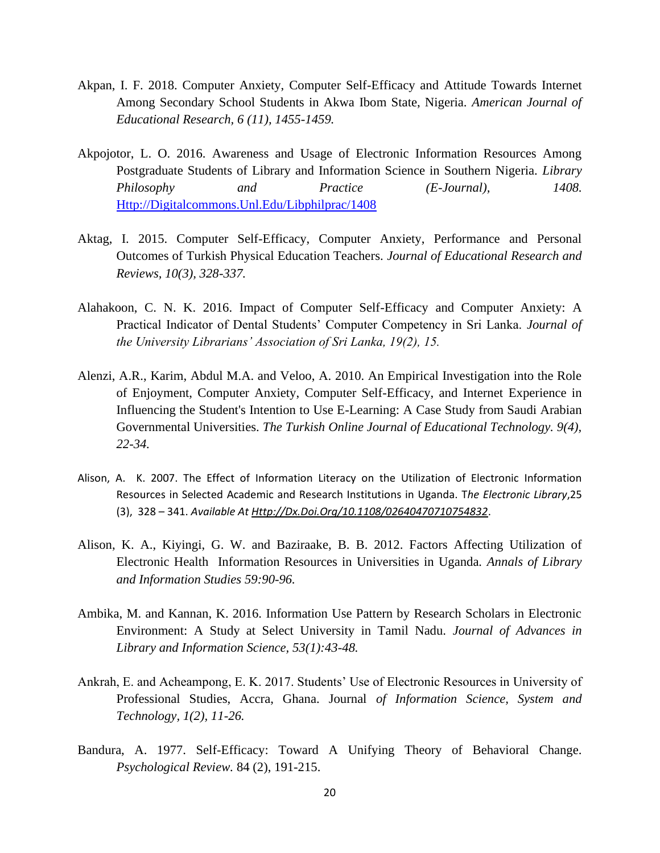- Akpan, I. F. 2018. Computer Anxiety, Computer Self-Efficacy and Attitude Towards Internet Among Secondary School Students in Akwa Ibom State, Nigeria. *American Journal of Educational Research, 6 (11), 1455-1459.*
- Akpojotor, L. O. 2016. Awareness and Usage of Electronic Information Resources Among Postgraduate Students of Library and Information Science in Southern Nigeria. *Library Philosophy and Practice (E-Journal), 1408.* [Http://Digitalcommons.Unl.Edu/Libphilprac/1408](http://digitalcommons.unl.edu/libphilprac/1408)
- Aktag, I. 2015. Computer Self-Efficacy, Computer Anxiety, Performance and Personal Outcomes of Turkish Physical Education Teachers. *Journal of Educational Research and Reviews, 10(3), 328-337.*
- Alahakoon, C. N. K. 2016. Impact of Computer Self-Efficacy and Computer Anxiety: A Practical Indicator of Dental Students' Computer Competency in Sri Lanka. *Journal of the University Librarians' Association of Sri Lanka, 19(2), 15.*
- Alenzi, A.R., Karim, Abdul M.A. and Veloo, A. 2010. An Empirical Investigation into the Role of Enjoyment, Computer Anxiety, Computer Self-Efficacy, and Internet Experience in Influencing the Student's Intention to Use E-Learning: A Case Study from Saudi Arabian Governmental Universities. *The Turkish Online Journal of Educational Technology. 9(4), 22-34.*
- Alison, A. K. 2007. The Effect of Information Literacy on the Utilization of Electronic Information Resources in Selected Academic and Research Institutions in Uganda. T*he Electronic Library*,25 (3), 328 – 341. *Available At [Http://Dx.Doi.Org/10.1108/02640470710754832](http://dx.doi.org/10.1108/02640470710754832)*.
- Alison, K. A., Kiyingi, G. W. and Baziraake, B. B. 2012. Factors Affecting Utilization of Electronic Health Information Resources in Universities in Uganda*. Annals of Library and Information Studies 59:90-96.*
- Ambika, M. and Kannan, K. 2016. Information Use Pattern by Research Scholars in Electronic Environment: A Study at Select University in Tamil Nadu. *Journal of Advances in Library and Information Science, 53(1):43-48.*
- Ankrah, E. and Acheampong, E. K. 2017. Students' Use of Electronic Resources in University of Professional Studies, Accra, Ghana. Journal *of Information Science, System and Technology, 1(2), 11-26.*
- Bandura, A. 1977. Self-Efficacy: Toward A Unifying Theory of Behavioral Change. *Psychological Review.* 84 (2), 191-215.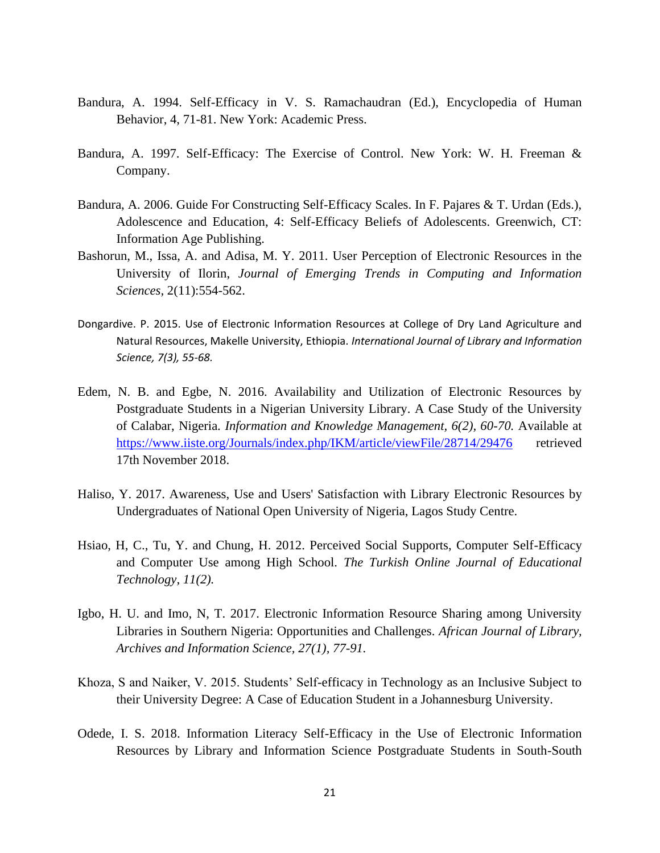- Bandura, A. 1994. Self-Efficacy in V. S. Ramachaudran (Ed.), Encyclopedia of Human Behavior, 4, 71-81. New York: Academic Press.
- Bandura, A. 1997. Self-Efficacy: The Exercise of Control. New York: W. H. Freeman & Company.
- Bandura, A. 2006. Guide For Constructing Self-Efficacy Scales. In F. Pajares & T. Urdan (Eds.), Adolescence and Education, 4: Self-Efficacy Beliefs of Adolescents. Greenwich, CT: Information Age Publishing.
- Bashorun, M., Issa, A. and Adisa, M. Y. 2011. User Perception of Electronic Resources in the University of Ilorin, *Journal of Emerging Trends in Computing and Information Sciences,* 2(11):554-562.
- Dongardive. P. 2015. Use of Electronic Information Resources at College of Dry Land Agriculture and Natural Resources, Makelle University, Ethiopia. *International Journal of Library and Information Science, 7(3), 55-68.*
- Edem, N. B. and Egbe, N. 2016. Availability and Utilization of Electronic Resources by Postgraduate Students in a Nigerian University Library. A Case Study of the University of Calabar, Nigeria. *Information and Knowledge Management, 6(2), 60-70.* Available at <https://www.iiste.org/Journals/index.php/IKM/article/viewFile/28714/29476> retrieved 17th November 2018.
- Haliso, Y. 2017. Awareness, Use and Users' Satisfaction with Library Electronic Resources by Undergraduates of National Open University of Nigeria, Lagos Study Centre.
- Hsiao, H, C., Tu, Y. and Chung, H. 2012. Perceived Social Supports, Computer Self-Efficacy and Computer Use among High School. *The Turkish Online Journal of Educational Technology, 11(2).*
- Igbo, H. U. and Imo, N, T. 2017. Electronic Information Resource Sharing among University Libraries in Southern Nigeria: Opportunities and Challenges. *African Journal of Library, Archives and Information Science, 27(1), 77-91.*
- Khoza, S and Naiker, V. 2015. Students' Self-efficacy in Technology as an Inclusive Subject to their University Degree: A Case of Education Student in a Johannesburg University.
- Odede, I. S. 2018. Information Literacy Self-Efficacy in the Use of Electronic Information Resources by Library and Information Science Postgraduate Students in South-South